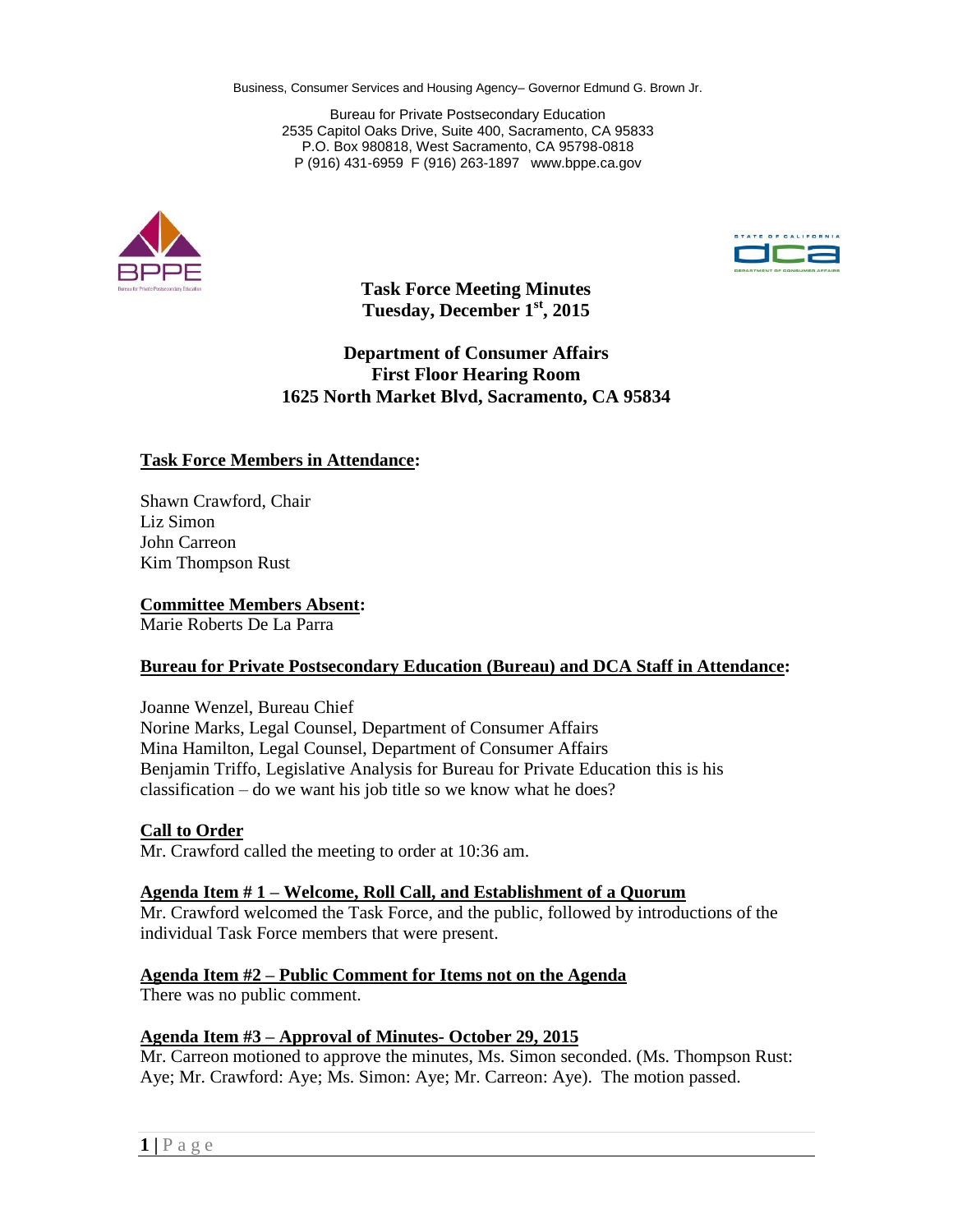Business, Consumer Services and Housing Agency– Governor Edmund G. Brown Jr.

Bureau for Private Postsecondary Education 2535 Capitol Oaks Drive, Suite 400, Sacramento, CA 95833 P.O. Box 980818, West Sacramento, CA 95798-0818 P (916) 431-6959 F (916) 263-1897 www.bppe.ca.gov





**Task Force Meeting Minutes Tuesday, December 1st, 2015**

**Department of Consumer Affairs First Floor Hearing Room 1625 North Market Blvd, Sacramento, CA 95834**

## **Task Force Members in Attendance:**

Shawn Crawford, Chair Liz Simon John Carreon Kim Thompson Rust

**Committee Members Absent:**

Marie Roberts De La Parra

### **Bureau for Private Postsecondary Education (Bureau) and DCA Staff in Attendance:**

Joanne Wenzel, Bureau Chief Norine Marks, Legal Counsel, Department of Consumer Affairs Mina Hamilton, Legal Counsel, Department of Consumer Affairs Benjamin Triffo, Legislative Analysis for Bureau for Private Education this is his classification – do we want his job title so we know what he does?

## **Call to Order**

Mr. Crawford called the meeting to order at 10:36 am.

### **Agenda Item # 1 – Welcome, Roll Call, and Establishment of a Quorum**

Mr. Crawford welcomed the Task Force, and the public, followed by introductions of the individual Task Force members that were present.

## **Agenda Item #2 – Public Comment for Items not on the Agenda**

There was no public comment.

### **Agenda Item #3 – Approval of Minutes- October 29, 2015**

Mr. Carreon motioned to approve the minutes, Ms. Simon seconded. (Ms. Thompson Rust: Aye; Mr. Crawford: Aye; Ms. Simon: Aye; Mr. Carreon: Aye). The motion passed.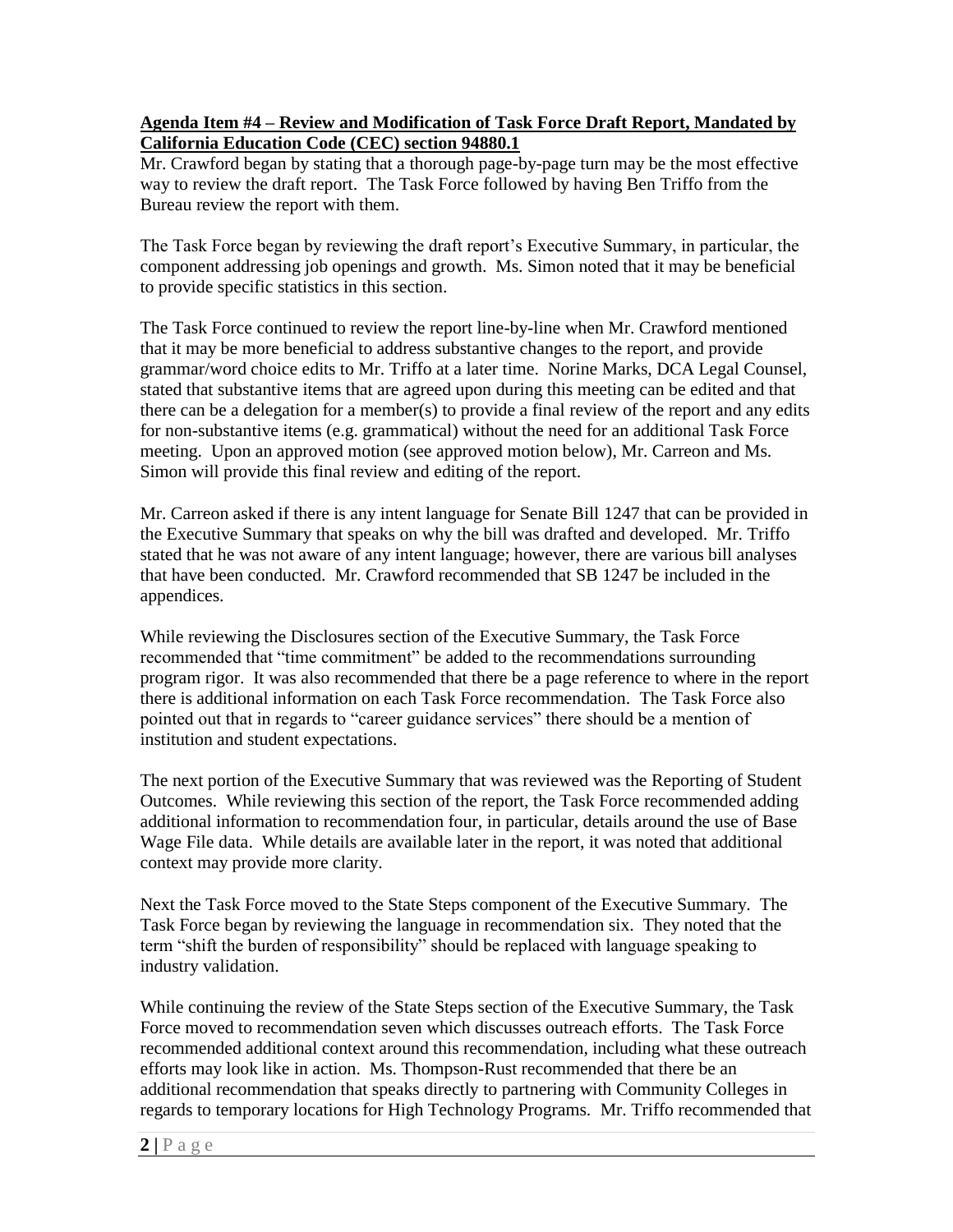# **Agenda Item #4 – Review and Modification of Task Force Draft Report, Mandated by California Education Code (CEC) section 94880.1**

Mr. Crawford began by stating that a thorough page-by-page turn may be the most effective way to review the draft report. The Task Force followed by having Ben Triffo from the Bureau review the report with them.

The Task Force began by reviewing the draft report's Executive Summary, in particular, the component addressing job openings and growth. Ms. Simon noted that it may be beneficial to provide specific statistics in this section.

The Task Force continued to review the report line-by-line when Mr. Crawford mentioned that it may be more beneficial to address substantive changes to the report, and provide grammar/word choice edits to Mr. Triffo at a later time. Norine Marks, DCA Legal Counsel, stated that substantive items that are agreed upon during this meeting can be edited and that there can be a delegation for a member(s) to provide a final review of the report and any edits for non-substantive items (e.g. grammatical) without the need for an additional Task Force meeting. Upon an approved motion (see approved motion below), Mr. Carreon and Ms. Simon will provide this final review and editing of the report.

Mr. Carreon asked if there is any intent language for Senate Bill 1247 that can be provided in the Executive Summary that speaks on why the bill was drafted and developed. Mr. Triffo stated that he was not aware of any intent language; however, there are various bill analyses that have been conducted. Mr. Crawford recommended that SB 1247 be included in the appendices.

While reviewing the Disclosures section of the Executive Summary, the Task Force recommended that "time commitment" be added to the recommendations surrounding program rigor. It was also recommended that there be a page reference to where in the report there is additional information on each Task Force recommendation. The Task Force also pointed out that in regards to "career guidance services" there should be a mention of institution and student expectations.

The next portion of the Executive Summary that was reviewed was the Reporting of Student Outcomes. While reviewing this section of the report, the Task Force recommended adding additional information to recommendation four, in particular, details around the use of Base Wage File data. While details are available later in the report, it was noted that additional context may provide more clarity.

Next the Task Force moved to the State Steps component of the Executive Summary. The Task Force began by reviewing the language in recommendation six. They noted that the term "shift the burden of responsibility" should be replaced with language speaking to industry validation.

While continuing the review of the State Steps section of the Executive Summary, the Task Force moved to recommendation seven which discusses outreach efforts. The Task Force recommended additional context around this recommendation, including what these outreach efforts may look like in action. Ms. Thompson-Rust recommended that there be an additional recommendation that speaks directly to partnering with Community Colleges in regards to temporary locations for High Technology Programs. Mr. Triffo recommended that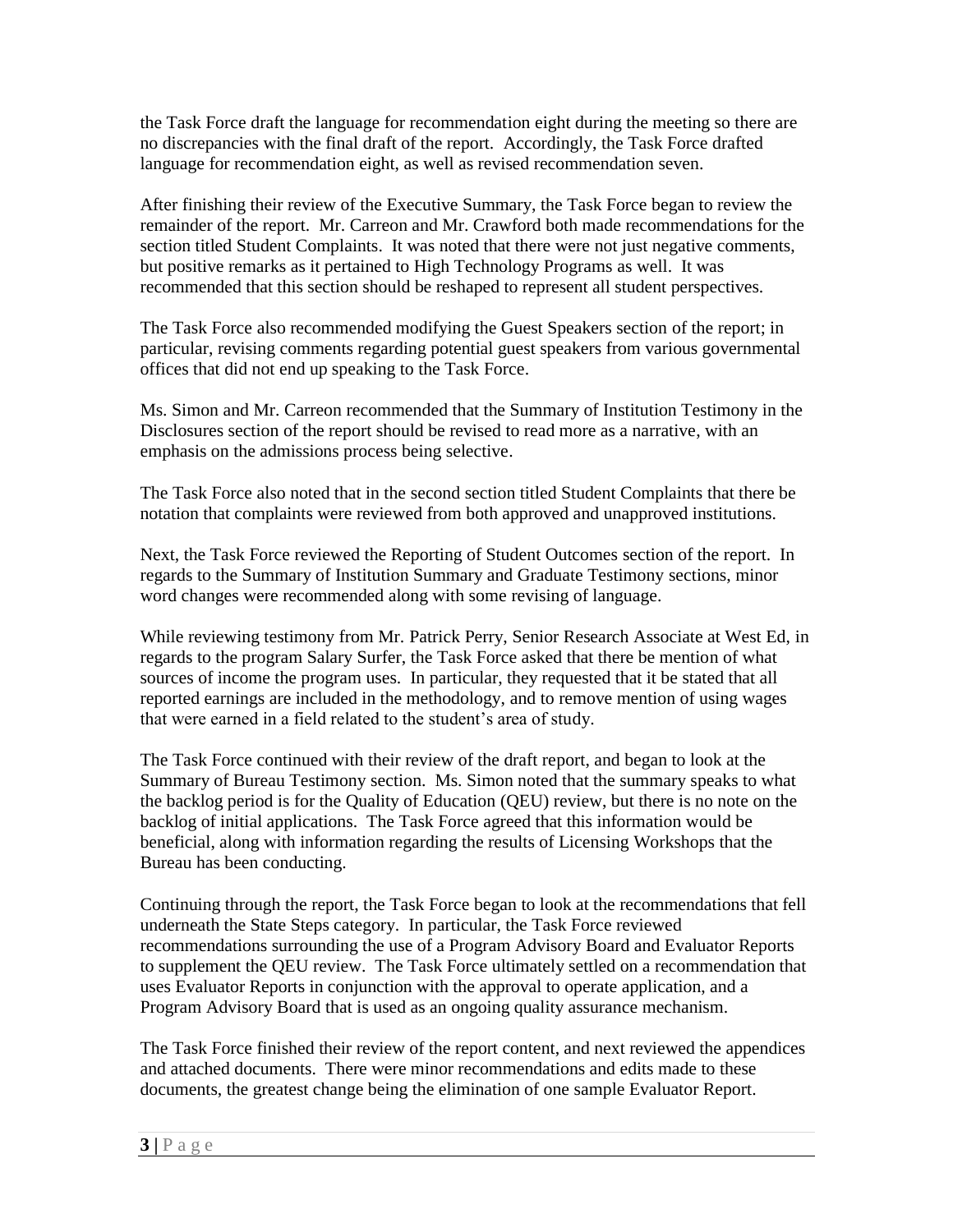the Task Force draft the language for recommendation eight during the meeting so there are no discrepancies with the final draft of the report. Accordingly, the Task Force drafted language for recommendation eight, as well as revised recommendation seven.

After finishing their review of the Executive Summary, the Task Force began to review the remainder of the report. Mr. Carreon and Mr. Crawford both made recommendations for the section titled Student Complaints. It was noted that there were not just negative comments, but positive remarks as it pertained to High Technology Programs as well. It was recommended that this section should be reshaped to represent all student perspectives.

The Task Force also recommended modifying the Guest Speakers section of the report; in particular, revising comments regarding potential guest speakers from various governmental offices that did not end up speaking to the Task Force.

Ms. Simon and Mr. Carreon recommended that the Summary of Institution Testimony in the Disclosures section of the report should be revised to read more as a narrative, with an emphasis on the admissions process being selective.

The Task Force also noted that in the second section titled Student Complaints that there be notation that complaints were reviewed from both approved and unapproved institutions.

Next, the Task Force reviewed the Reporting of Student Outcomes section of the report. In regards to the Summary of Institution Summary and Graduate Testimony sections, minor word changes were recommended along with some revising of language.

While reviewing testimony from Mr. Patrick Perry, Senior Research Associate at West Ed, in regards to the program Salary Surfer, the Task Force asked that there be mention of what sources of income the program uses. In particular, they requested that it be stated that all reported earnings are included in the methodology, and to remove mention of using wages that were earned in a field related to the student's area of study.

The Task Force continued with their review of the draft report, and began to look at the Summary of Bureau Testimony section. Ms. Simon noted that the summary speaks to what the backlog period is for the Quality of Education (QEU) review, but there is no note on the backlog of initial applications. The Task Force agreed that this information would be beneficial, along with information regarding the results of Licensing Workshops that the Bureau has been conducting.

Continuing through the report, the Task Force began to look at the recommendations that fell underneath the State Steps category. In particular, the Task Force reviewed recommendations surrounding the use of a Program Advisory Board and Evaluator Reports to supplement the QEU review. The Task Force ultimately settled on a recommendation that uses Evaluator Reports in conjunction with the approval to operate application, and a Program Advisory Board that is used as an ongoing quality assurance mechanism.

The Task Force finished their review of the report content, and next reviewed the appendices and attached documents. There were minor recommendations and edits made to these documents, the greatest change being the elimination of one sample Evaluator Report.